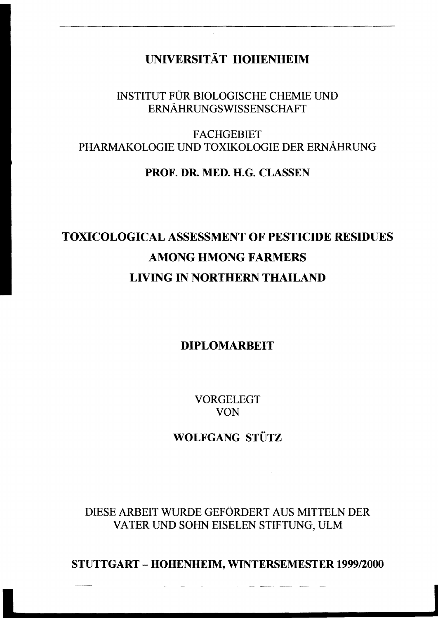## **UNNERSITÄT HOHENHEIM**

#### INSTITUT FÜR BIOLOGISCHE CHEMIE UND ERNÄHRUNGSWISSENSCHAFT

**FACHGEBIET** PHARMAKOLOGIE UND TOXIKOLOGIE DER ERNÄHRUNG

#### **PROF. DR. MED. H.G. CLASSEN**

# **TOXICOLOGICAL ASSESSMENT OF PESTICIDE RESIDUES AMONG HMONG FARMERS LNING IN NORTHERN THAILAND**

### **DIPLOMARBEIT**

VORGELEGT VON

## **WOLFGANG STÜTZ**

DIESE ARBEIT WURDE GEFÖRDERT AUS MITTELN DER VATER UND SOHN EISELEN STIFTUNG, ULM

**STUTTGART - HOHENHEIM, WINTERSEMESTER 1999/2000**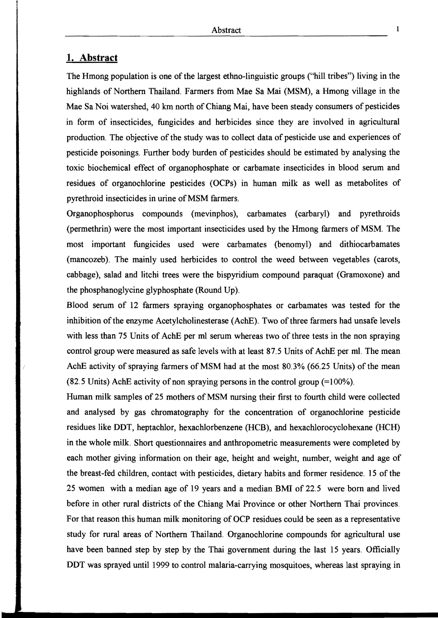#### **1. Abstract**

The Hmong population is one of the largest ethno-linguistic groups ("hill tribes") living in the highlands of Northern Thailand. Farmers from Mae Sa Mai (MSM), a Hmong village in the Mae Sa Noi watershed, 40 km north of Chiang Mai, have been steady consumers of pesticides in form of insecticides, fungicides and herbicides since they are involved in agricultural production. The objective of the study was to collect data of pesticide use and experiences of pesticide poisonings. Further body burden of pesticides should be estimated by analysing the toxic biochemical effect of organophosphate or carbamate insecticides in blood serum and residues of organochlorine pesticides (OCPs) in human milk as well as metabolites of pyrethroid insecticides in urine of MSM farmers.

Organophosphorus compounds (mevinphos), carbamates (carbaryl) and pyrethroids (permethrin) were the most important insecticides used by the Hmong farmers of MSM. The most important fungicides used were carbamates (benomyl) and dithiocarbamates (mancozeb). The mainly used herbicides to control the weed between vegetables (carots, cabbage), salad and litchi trees were the bispyridium compound paraquat (Gramoxone) and the phosphanoglycine glyphosphate (Round Up).

Blood serum of 12 farmers spraying organophosphates or carbamates was tested for the inhibition of the enzyme Acetylcholinesterase (AchE). Two of three farmers had unsafe levels with less than 75 Units of AchE per ml serum whereas two of three tests in the non spraying control group were measured as safe levels with at least 87.5 Units of AchE per ml. The mean AchE activity of spraying farmers of MSM had at the most  $80.3\%$  (66.25 Units) of the mean (82.5 Units) AchE activity of non spraying persons in the control group  $(=100\%)$ .

Human milk sampies of 25 mothers of MSM nursing their first to fourth child were collected and analysed by gas chromatography for the concentration of organochlorine pesticide residues like DDT, heptachlor, hexachlorbenzene (HCB), and hexachlorocyclohexane (HCH) in the whole milk. Short questionnaires and anthropometric measurements were completed by each mother giving information on their age, height and weight, number, weight and age of the breast-fed children, contact with pesticides, dietary habits and former residence. 15 of the 25 women with a median age of 19 years and a median BMI of 22.5 were born and lived before in other rural districts of the Chiang Mai Province or other Northern Thai provinces. For that reason this human milk monitoring of OCP residues could be seen as a representative study for rural areas of Northern Thailand. Organochlorine compounds for agricultural use have been banned step by step by the Thai government during the last 15 years. Officially DDT was sprayed until 1999 to control malaria-carrying mosquitoes, whereas last spraying in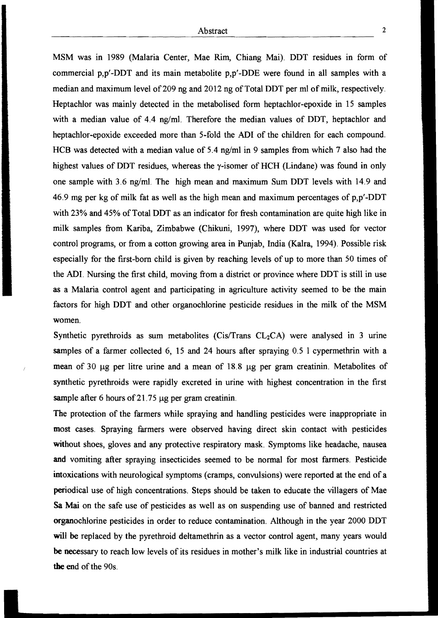MSM was in 1989 (Malaria Center, Mae Rim, Chiang Mai). DDT residues in form of commercial p,p'-DDT and its main metabolite p,p'-DDE were found in all samples with a median and maximum level of 209 ng and 2012 ng of Total DDT per ml of milk, respectively. Heptachlor was mainly detected in the metabolised form heptachlor-epoxide in 15 sampies with a median value of  $4.4$  ng/ml. Therefore the median values of DDT, heptachlor and heptachlor-epoxide exceeded more than 5-fold the ADI of the children for each compound. HCB was detected with a median value of 5.4 ng/ml in 9 samples from which 7 also had the highest values of DDT residues, whereas the y-isomer of HCH (Lindane) was found in only one sample with 3.6 ng/ml. The high mean and maximum Sum DDT levels with 14.9 and 46.9 mg per kg of milk fat as well as the high mean and maximum percentages of  $p, p'$ -DDT with 23% and 45% of Total DDT as an indicator for fresh contamination are quite high like in milk sampies from Kariba, Zimbabwe (Chikuni, 1997), where DDT was used for vector control programs, or from a cotton growing area in Punjab, India (Kalra, 1994). Possible risk especially for the first-born child is given by reaching levels of up to more than 50 times of the ADI. Nursing the first child, moving from a district or province where DDT is still in use as a Malaria control agent and participating in agriculture activity seemed to be the main factors for high DDT and other organochlorine pesticide residues in the milk of the MSM women.

Synthetic pyrethroids as sum metabolites (Cis/Trans  $CL<sub>2</sub>CA$ ) were analysed in 3 urine samples of a farmer collected 6, 15 and 24 hours after spraying 0.5 l cypermethrin with a mean of 30  $\mu$ g per litre urine and a mean of 18.8  $\mu$ g per gram creatinin. Metabolites of synthetic pyrethroids were rapidly excreted in urine with highest concentration in the first sample after 6 hours of 21.75  $\mu$ g per gram creatinin.

The protection of the farmers while spraying and handling pesticides were inappropriate in most cases. Spraying farmers were observed having direct skin contact with pesticides without shoes, gloves and any protective respiratory mask. Symptoms like headache, nausea and vomiting after spraying insecticides seemed to be normal for most farmers. Pesticide intoxications with neurological symptoms (cramps, convulsions) were reported at the end of a periodical use of high concentrations. Steps should be taken to educate the villagers of Mae Sa Mai on the safe use of pesticides as weIl as on suspending use of banned and restricted organochlorine pesticides in order to reduce contamination. Although in the year 2000 DDT will be replaced by the pyrethroid deltamethrin as a vector control agent, many years would be necessary to reach low levels of its residues in mother's milk like in industrial countries at the end of the 90s.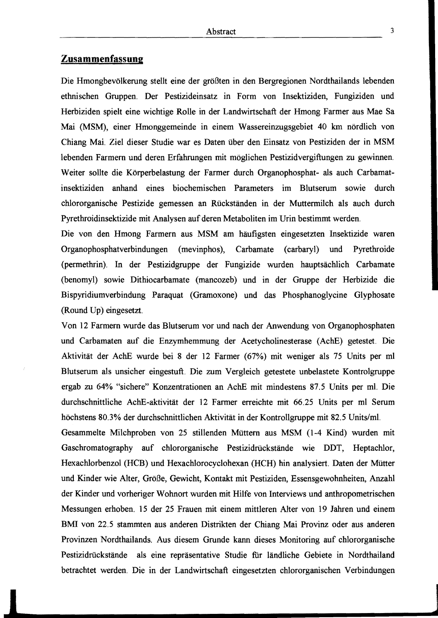#### **Zusammenfassung**

Die Hmonghevölkerung stellt eine der größten in den Bergregionen Nordthailands lehenden ethnischen Gruppen. Der Pestizideinsatz in Form von Insektiziden, Fungiziden und Herbiziden spielt eine wichtige Rolle in der Landwirtschaft der Hmong Farmer aus Mae Sa Mai (MSM), einer Hmonggemeinde in einem Wassereinzugsgebiet 40 km nördlich von Chiang Mai. Ziel dieser Studie war es Daten über den Einsatz von Pestiziden der in MSM lebenden Farmern und deren Erfahrungen mit möglichen Pestizidvergiftungen zu gewinnen. Weiter sollte die Körperbelastung der Farmer durch Organophosphat- als auch Carbamatinsektiziden anhand eines hiochemischen Parameters im Blutserum sowie durch chlororganische Pestizide gemessen an Rückständen in der Muttermilch als auch durch Pyrethroidinsektizide mit Analysen auf deren Metaholiten im Urin hestimmt werden.

Die von den Hmong Farmern aus MSM am häufigsten eingesetzten Insektizide waren Organophosphatverhindungen (mevinphos), Carhamate (carharyl) und Pyrethroide (permethrin). In der Pestizidgruppe der Fungizide wurden hauptsächlich Carhamate (henomyl) sowie Dithiocarhamate (mancozeh) und in der Gruppe der Herhizide die Bispyridiumverhindung Paraquat (Gramoxone) und das Phosphanoglycine Glyphosate (Round Up) eingesetzt.

Von 12 Farmern wurde das Blutserum vor und nach der Anwendung von Organophosphaten und Carbamaten auf die Enzymhemmung der Acetycholinesterase (AchE) getestet. Die Aktivität der AchE wurde hei 8 der 12 Farmer (67%) mit weniger als 75 Units per ml Blutserum als unsicher eingestuft. Die zum Vergleich getestete unhelastete Kontrolgruppe ergah zu 64% "sichere" Konzentrationen an AchE mit mindestens 87.5 Units per ml. Die durchschnittliche AchE-aktivität der 12 Farmer erreichte mit 66.25 Units per ml Serum höchstens 80.3% der durchschnittlichen Aktivität in der Kontrollgruppe mit 82.5 Units/ml.

Gesammelte Milchprohen von 25 stillenden Müttern aus MSM (I-4 Kind) wurden mit Gaschromatography auf chlororganische Pestizidruckstände wie DDT, Heptachlor, Hexachlorhenzol (HCB) und Hexachlorocyclohexan (HCH) hin analysiert. Daten der Mütter und Kinder wie Alter, Größe, Gewicht, Kontakt mit Pestiziden, Essensgewohnheiten, Anzahl der Kinder und vorheriger Wohnort wurden mit Hilfe von Interviews und anthropometrischen Messungen erhohen. 15 der 25 Frauen mit einem mittleren Alter von 19 Jahren und einem BMI von 22.5 stammten aus anderen Distrikten der Chiang Mai Provinz oder aus anderen Provinzen Nordthailands. Aus diesem Grunde kann dieses Monitoring auf chlororganische Pestizidruckstände als eine repräsentative Studie für ländliche Gebiete in Nordthailand hetrachtet werden. Die in der Landwirtschaft eingesetzten chlororganischen Verhindungen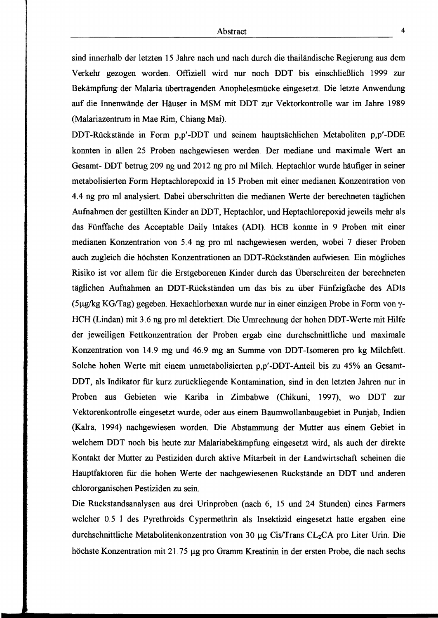sind innerhalb der letzten 15 Jahre nach und nach durch die thailändische Regierung aus dem Verkehr gezogen worden. Offiziell wird nur noch DDT bis einschließlich 1999 zur Bekämpfung der Malaria übertragenden Anophelesmücke eingesetzt. Die letzte Anwendung auf die Innenwände der Häuser in MSM mit DDT zur Vektorkontrolle war im Jahre 1989 (Malariazentrum in Mae Rim, Chiang Mai).

DDT -Rückstände in Form p,p' -DDT und seinem hauptsächlichen Metaboliten p,p' -DDE konnten in allen 25 Proben nachgewiesen werden. Der mediane und maximale Wert an Gesamt- DDT betrug 209 ng und 2012 ng pro ml Milch. Heptachlor wurde häufiger in seiner metabolisierten Form Heptachlorepoxid in 15 Proben mit einer medianen Konzentration von 4.4 ng pro ml analysiert. Dabei überschritten die medianen Werte der berechneten täglichen Aufnahmen der gestillten Kinder an DDT, Heptachlor, und Heptachlorepoxid jeweils mehr als das Fünffache des Acceptable Daily Intakes (ADI). HCB konnte in 9 Proben mit einer medianen Konzentration von 5.4 ng pro ml nachgewiesen werden, wobei 7 dieser Proben auch zugleich die höchsten Konzentrationen an DDT -Rückständen aufwiesen. Ein mögliches Risiko ist vor allem für die Erstgeborenen Kinder durch das Überschreiten der berechneten täglichen Aufnahmen an DDT -Rückständen um das bis zu über Fünfzigfache des ADIs (5 $\mu$ g/kg KG/Tag) gegeben. Hexachlorhexan wurde nur in einer einzigen Probe in Form von  $\gamma$ -HCH (Lindan) mit 3.6 ng pro ml detektiert. Die Umrechnung der hohen DDT-Werte mit Hilfe der jeweiligen Fettkonzentration der Proben ergab eine durchschnittliche und maximale Konzentration von 14.9 mg und 46.9 mg an Summe von DDT -Isomeren pro kg Milchfett. Solche hohen Werte mit einem unmetabolisierten p,p'-DDT-Anteil bis zu 45% an Gesamt-DDT, als Indikator fur kurz zurückliegende Kontamination, sind in den letzten Jahren nur in Proben aus Gebieten wie Kariba in Zimbabwe (Chikuni, 1997), wo DDT zur Vektorenkontrolle eingesetzt wurde, oder aus einem Baumwollanbaugebiet in Punjab, Indien (Kalra, 1994) nachgewiesen worden. Die Abstammung der Mutter aus einem Gebiet in welchem DDT noch bis heute zur Malariabekämpfung eingesetzt wird, als auch der direkte Kontakt der Mutter zu Pestiziden durch aktive Mitarbeit in der Landwirtschaft scheinen die Hauptfaktoren fur die hohen Werte der nachgewiesenen Rückstände an DDT und anderen chlororganischen Pestiziden zu sein.

Die Rückstandsanalysen aus drei Urinproben (nach 6, 15 und 24 Stunden) eines Farmers welcher 0.5 I des Pyrethroids Cypermethrin als Insektizid eingesetzt hatte ergaben eine durchschnittliche Metabolitenkonzentration von 30  $\mu$ g Cis/Trans CL<sub>2</sub>CA pro Liter Urin. Die höchste Konzentration mit 21.75 µg pro Gramm Kreatinin in der ersten Probe, die nach sechs